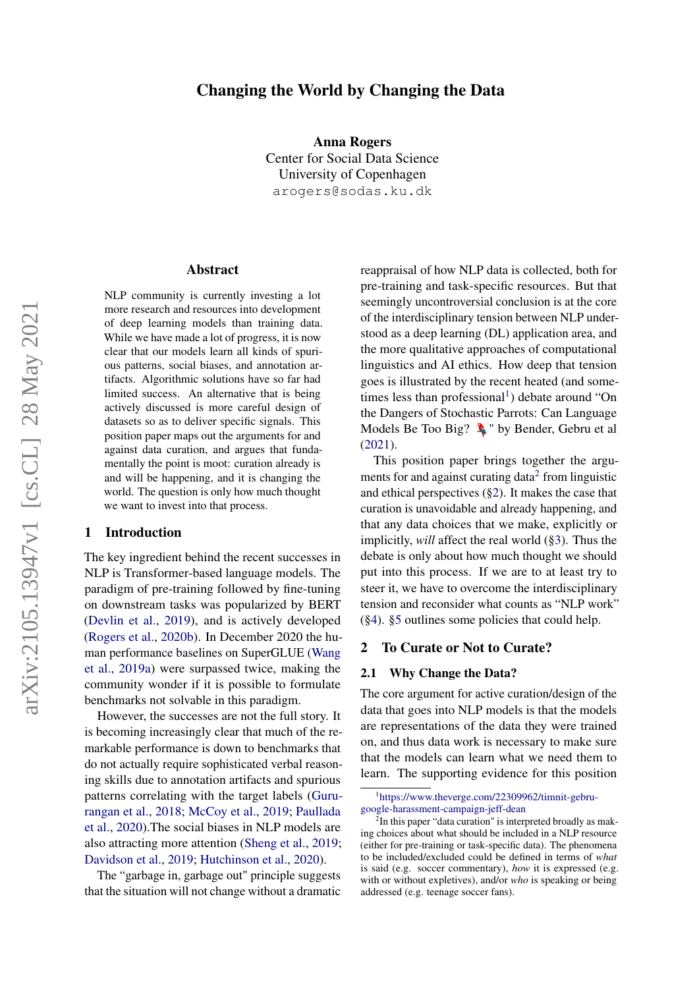# arXiv:2105.13947v1 [cs.CL] 28 May 2021 arXiv:2105.13947v1 [cs.CL] 28 May 2021

# Changing the World by Changing the Data

Anna Rogers Center for Social Data Science University of Copenhagen

arogers@sodas.ku.dk

# Abstract

NLP community is currently investing a lot more research and resources into development of deep learning models than training data. While we have made a lot of progress, it is now clear that our models learn all kinds of spurious patterns, social biases, and annotation artifacts. Algorithmic solutions have so far had limited success. An alternative that is being actively discussed is more careful design of datasets so as to deliver specific signals. This position paper maps out the arguments for and against data curation, and argues that fundamentally the point is moot: curation already is and will be happening, and it is changing the world. The question is only how much thought we want to invest into that process.

# 1 Introduction

The key ingredient behind the recent successes in NLP is Transformer-based language models. The paradigm of pre-training followed by fine-tuning on downstream tasks was popularized by BERT [\(Devlin et al.,](#page-9-0) [2019\)](#page-9-0), and is actively developed [\(Rogers et al.,](#page-11-0) [2020b\)](#page-11-0). In December 2020 the human performance baselines on SuperGLUE [\(Wang](#page-12-0) [et al.,](#page-12-0) [2019a\)](#page-12-0) were surpassed twice, making the community wonder if it is possible to formulate benchmarks not solvable in this paradigm.

However, the successes are not the full story. It is becoming increasingly clear that much of the remarkable performance is down to benchmarks that do not actually require sophisticated verbal reasoning skills due to annotation artifacts and spurious patterns correlating with the target labels [\(Guru](#page-10-0)[rangan et al.,](#page-10-0) [2018;](#page-10-0) [McCoy et al.,](#page-11-1) [2019;](#page-11-1) [Paullada](#page-11-2) [et al.,](#page-11-2) [2020\)](#page-11-2).The social biases in NLP models are also attracting more attention [\(Sheng et al.,](#page-11-3) [2019;](#page-11-3) [Davidson et al.,](#page-9-1) [2019;](#page-9-1) [Hutchinson et al.,](#page-10-1) [2020\)](#page-10-1).

The "garbage in, garbage out" principle suggests that the situation will not change without a dramatic

reappraisal of how NLP data is collected, both for pre-training and task-specific resources. But that seemingly uncontroversial conclusion is at the core of the interdisciplinary tension between NLP understood as a deep learning (DL) application area, and the more qualitative approaches of computational linguistics and AI ethics. How deep that tension goes is illustrated by the recent heated (and some-times less than professional<sup>[1](#page-0-0)</sup>) debate around "On the Dangers of Stochastic Parrots: Can Language Models Be Too Big?  $\triangle$  " by Bender, Gebru et all [\(2021\)](#page-9-2).

This position paper brings together the argu-ments for and against curating data<sup>[2](#page-0-1)</sup> from linguistic and ethical perspectives  $(\S 2)$ . It makes the case that curation is unavoidable and already happening, and that any data choices that we make, explicitly or implicitly, *will* affect the real world ([§3\)](#page-4-0). Thus the debate is only about how much thought we should put into this process. If we are to at least try to steer it, we have to overcome the interdisciplinary tension and reconsider what counts as "NLP work" ([§4\)](#page-6-0). [§5](#page-6-1) outlines some policies that could help.

### <span id="page-0-2"></span>2 To Curate or Not to Curate?

### 2.1 Why Change the Data?

The core argument for active curation/design of the data that goes into NLP models is that the models are representations of the data they were trained on, and thus data work is necessary to make sure that the models can learn what we need them to learn. The supporting evidence for this position

<span id="page-0-0"></span><sup>1</sup> [https://www.theverge.com/22309962/timnit-gebru-](https://www.theverge.com/22309962/timnit-gebru-google-harassment-campaign-jeff-dean)

<span id="page-0-1"></span>[google-harassment-campaign-jeff-dean](https://www.theverge.com/22309962/timnit-gebru-google-harassment-campaign-jeff-dean) 2 In this paper "data curation" is interpreted broadly as making choices about what should be included in a NLP resource (either for pre-training or task-specific data). The phenomena to be included/excluded could be defined in terms of *what* is said (e.g. soccer commentary), *how* it is expressed (e.g. with or without expletives), and/or *who* is speaking or being addressed (e.g. teenage soccer fans).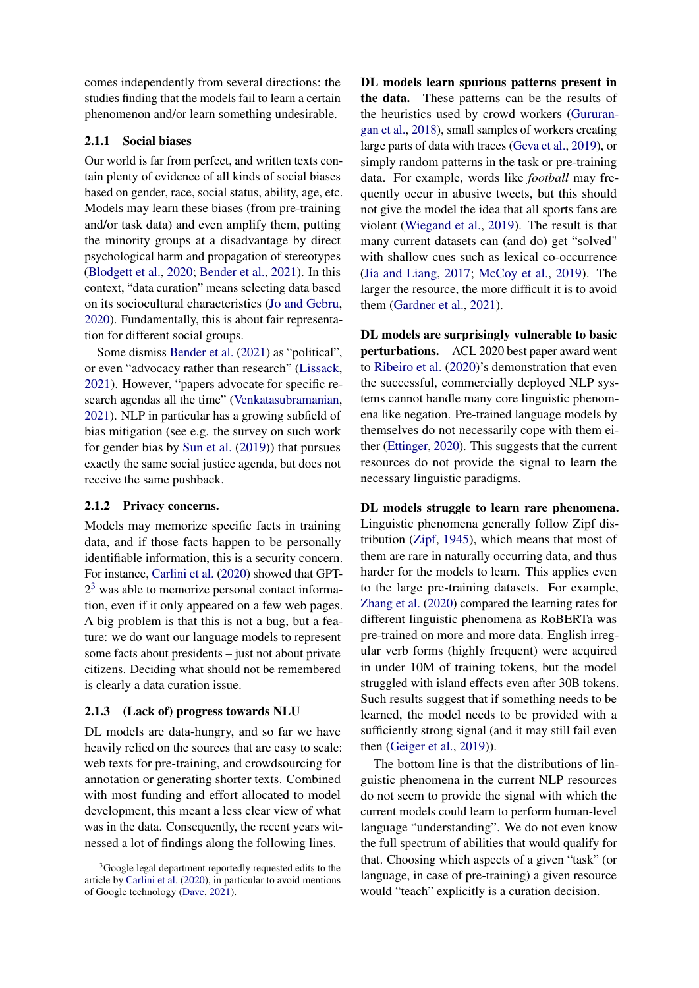comes independently from several directions: the studies finding that the models fail to learn a certain phenomenon and/or learn something undesirable.

# <span id="page-1-2"></span>2.1.1 Social biases

Our world is far from perfect, and written texts contain plenty of evidence of all kinds of social biases based on gender, race, social status, ability, age, etc. Models may learn these biases (from pre-training and/or task data) and even amplify them, putting the minority groups at a disadvantage by direct psychological harm and propagation of stereotypes [\(Blodgett et al.,](#page-9-3) [2020;](#page-9-3) [Bender et al.,](#page-9-2) [2021\)](#page-9-2). In this context, "data curation" means selecting data based on its sociocultural characteristics [\(Jo and Gebru,](#page-10-2) [2020\)](#page-10-2). Fundamentally, this is about fair representation for different social groups.

Some dismiss [Bender et al.](#page-9-2) [\(2021\)](#page-9-2) as "political", or even "advocacy rather than research" [\(Lissack,](#page-10-3) [2021\)](#page-10-3). However, "papers advocate for specific research agendas all the time" [\(Venkatasubramanian,](#page-11-4) [2021\)](#page-11-4). NLP in particular has a growing subfield of bias mitigation (see e.g. the survey on such work for gender bias by [Sun et al.](#page-11-5) [\(2019\)](#page-11-5)) that pursues exactly the same social justice agenda, but does not receive the same pushback.

# 2.1.2 Privacy concerns.

Models may memorize specific facts in training data, and if those facts happen to be personally identifiable information, this is a security concern. For instance, [Carlini et al.](#page-9-4) [\(2020\)](#page-9-4) showed that GPT- $2<sup>3</sup>$  $2<sup>3</sup>$  $2<sup>3</sup>$  was able to memorize personal contact information, even if it only appeared on a few web pages. A big problem is that this is not a bug, but a feature: we do want our language models to represent some facts about presidents – just not about private citizens. Deciding what should not be remembered is clearly a data curation issue.

# 2.1.3 (Lack of) progress towards NLU

DL models are data-hungry, and so far we have heavily relied on the sources that are easy to scale: web texts for pre-training, and crowdsourcing for annotation or generating shorter texts. Combined with most funding and effort allocated to model development, this meant a less clear view of what was in the data. Consequently, the recent years witnessed a lot of findings along the following lines.

DL models learn spurious patterns present in the data. These patterns can be the results of the heuristics used by crowd workers [\(Gururan](#page-10-0)[gan et al.,](#page-10-0) [2018\)](#page-10-0), small samples of workers creating large parts of data with traces [\(Geva et al.,](#page-10-4) [2019\)](#page-10-4), or simply random patterns in the task or pre-training data. For example, words like *football* may frequently occur in abusive tweets, but this should not give the model the idea that all sports fans are violent [\(Wiegand et al.,](#page-12-1) [2019\)](#page-12-1). The result is that many current datasets can (and do) get "solved" with shallow cues such as lexical co-occurrence [\(Jia and Liang,](#page-10-5) [2017;](#page-10-5) [McCoy et al.,](#page-11-1) [2019\)](#page-11-1). The larger the resource, the more difficult it is to avoid them [\(Gardner et al.,](#page-10-6) [2021\)](#page-10-6).

DL models are surprisingly vulnerable to basic perturbations. ACL 2020 best paper award went to [Ribeiro et al.](#page-11-6) [\(2020\)](#page-11-6)'s demonstration that even the successful, commercially deployed NLP systems cannot handle many core linguistic phenomena like negation. Pre-trained language models by themselves do not necessarily cope with them either [\(Ettinger,](#page-10-7) [2020\)](#page-10-7). This suggests that the current resources do not provide the signal to learn the necessary linguistic paradigms.

<span id="page-1-1"></span>DL models struggle to learn rare phenomena. Linguistic phenomena generally follow Zipf distribution [\(Zipf,](#page-12-2) [1945\)](#page-12-2), which means that most of them are rare in naturally occurring data, and thus harder for the models to learn. This applies even to the large pre-training datasets. For example, [Zhang et al.](#page-12-3) [\(2020\)](#page-12-3) compared the learning rates for different linguistic phenomena as RoBERTa was pre-trained on more and more data. English irregular verb forms (highly frequent) were acquired in under 10M of training tokens, but the model struggled with island effects even after 30B tokens. Such results suggest that if something needs to be learned, the model needs to be provided with a sufficiently strong signal (and it may still fail even then [\(Geiger et al.,](#page-10-8) [2019\)](#page-10-8)).

The bottom line is that the distributions of linguistic phenomena in the current NLP resources do not seem to provide the signal with which the current models could learn to perform human-level language "understanding". We do not even know the full spectrum of abilities that would qualify for that. Choosing which aspects of a given "task" (or language, in case of pre-training) a given resource would "teach" explicitly is a curation decision.

<span id="page-1-0"></span> $3$ Google legal department reportedly requested edits to the article by [Carlini et al.](#page-9-4) [\(2020\)](#page-9-4), in particular to avoid mentions of Google technology [\(Dave,](#page-9-5) [2021\)](#page-9-5).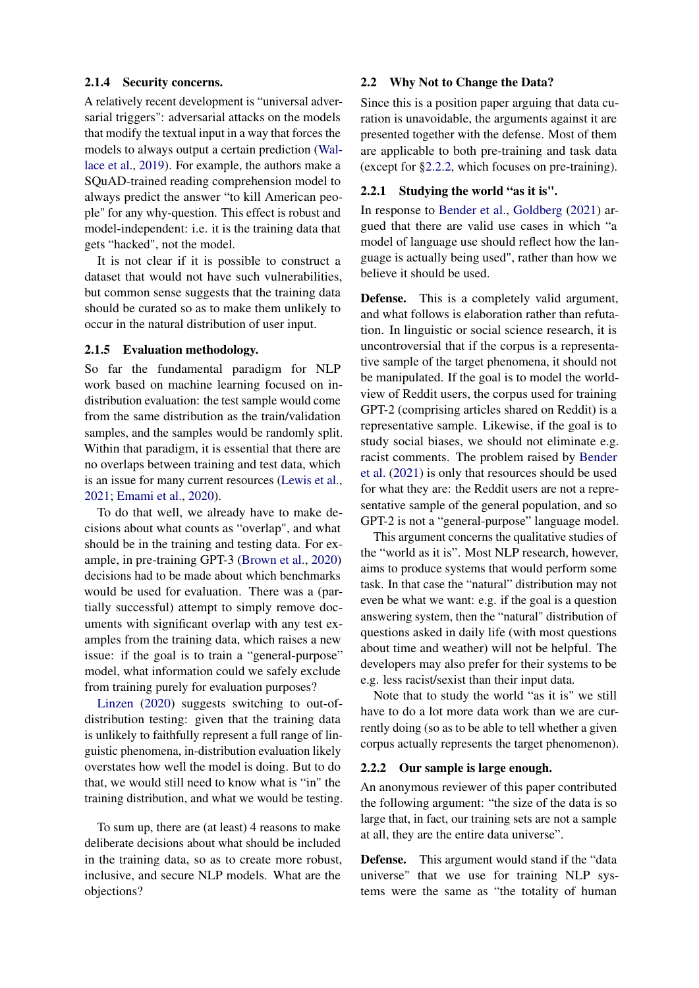# 2.1.4 Security concerns.

A relatively recent development is "universal adversarial triggers": adversarial attacks on the models that modify the textual input in a way that forces the models to always output a certain prediction [\(Wal](#page-11-7)[lace et al.,](#page-11-7) [2019\)](#page-11-7). For example, the authors make a SQuAD-trained reading comprehension model to always predict the answer "to kill American people" for any why-question. This effect is robust and model-independent: i.e. it is the training data that gets "hacked", not the model.

It is not clear if it is possible to construct a dataset that would not have such vulnerabilities, but common sense suggests that the training data should be curated so as to make them unlikely to occur in the natural distribution of user input.

### 2.1.5 Evaluation methodology.

So far the fundamental paradigm for NLP work based on machine learning focused on indistribution evaluation: the test sample would come from the same distribution as the train/validation samples, and the samples would be randomly split. Within that paradigm, it is essential that there are no overlaps between training and test data, which is an issue for many current resources [\(Lewis et al.,](#page-10-9) [2021;](#page-10-9) [Emami et al.,](#page-10-10) [2020\)](#page-10-10).

To do that well, we already have to make decisions about what counts as "overlap", and what should be in the training and testing data. For example, in pre-training GPT-3 [\(Brown et al.,](#page-9-6) [2020\)](#page-9-6) decisions had to be made about which benchmarks would be used for evaluation. There was a (partially successful) attempt to simply remove documents with significant overlap with any test examples from the training data, which raises a new issue: if the goal is to train a "general-purpose" model, what information could we safely exclude from training purely for evaluation purposes?

[Linzen](#page-10-11) [\(2020\)](#page-10-11) suggests switching to out-ofdistribution testing: given that the training data is unlikely to faithfully represent a full range of linguistic phenomena, in-distribution evaluation likely overstates how well the model is doing. But to do that, we would still need to know what is "in" the training distribution, and what we would be testing.

To sum up, there are (at least) 4 reasons to make deliberate decisions about what should be included in the training data, so as to create more robust, inclusive, and secure NLP models. What are the objections?

# 2.2 Why Not to Change the Data?

Since this is a position paper arguing that data curation is unavoidable, the arguments against it are presented together with the defense. Most of them are applicable to both pre-training and task data (except for [§2.2.2,](#page-2-0) which focuses on pre-training).

# 2.2.1 Studying the world "as it is".

In response to [Bender et al.,](#page-9-2) [Goldberg](#page-10-12) [\(2021\)](#page-10-12) argued that there are valid use cases in which "a model of language use should reflect how the language is actually being used", rather than how we believe it should be used.

Defense. This is a completely valid argument, and what follows is elaboration rather than refutation. In linguistic or social science research, it is uncontroversial that if the corpus is a representative sample of the target phenomena, it should not be manipulated. If the goal is to model the worldview of Reddit users, the corpus used for training GPT-2 (comprising articles shared on Reddit) is a representative sample. Likewise, if the goal is to study social biases, we should not eliminate e.g. racist comments. The problem raised by [Bender](#page-9-2) [et al.](#page-9-2) [\(2021\)](#page-9-2) is only that resources should be used for what they are: the Reddit users are not a representative sample of the general population, and so GPT-2 is not a "general-purpose" language model.

This argument concerns the qualitative studies of the "world as it is". Most NLP research, however, aims to produce systems that would perform some task. In that case the "natural" distribution may not even be what we want: e.g. if the goal is a question answering system, then the "natural" distribution of questions asked in daily life (with most questions about time and weather) will not be helpful. The developers may also prefer for their systems to be e.g. less racist/sexist than their input data.

Note that to study the world "as it is" we still have to do a lot more data work than we are currently doing (so as to be able to tell whether a given corpus actually represents the target phenomenon).

### <span id="page-2-0"></span>2.2.2 Our sample is large enough.

An anonymous reviewer of this paper contributed the following argument: "the size of the data is so large that, in fact, our training sets are not a sample at all, they are the entire data universe".

Defense. This argument would stand if the "data universe" that we use for training NLP systems were the same as "the totality of human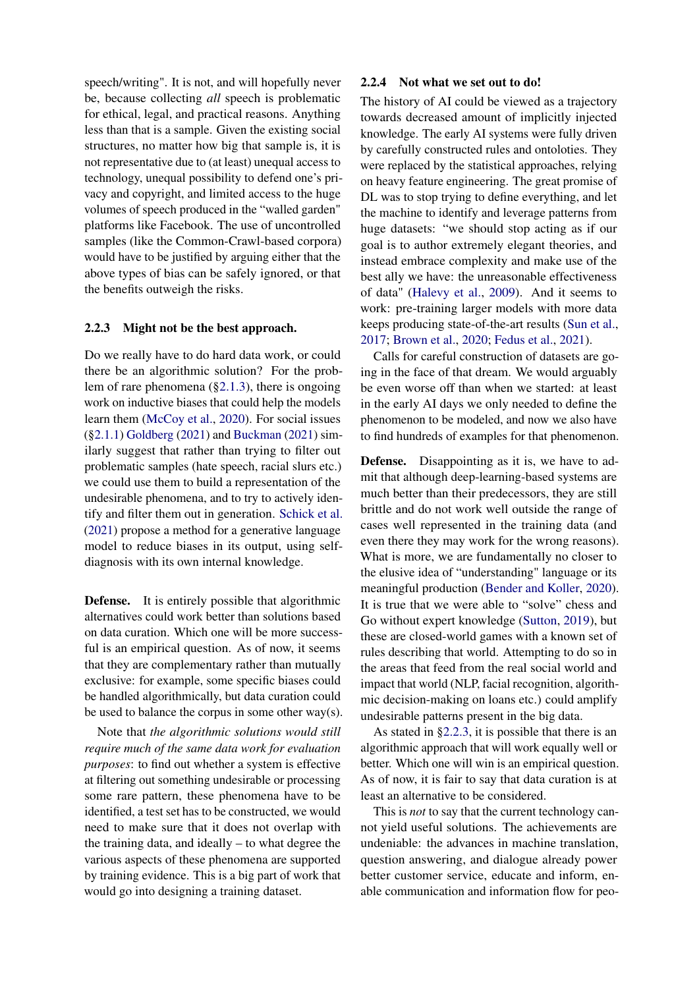speech/writing". It is not, and will hopefully never be, because collecting *all* speech is problematic for ethical, legal, and practical reasons. Anything less than that is a sample. Given the existing social structures, no matter how big that sample is, it is not representative due to (at least) unequal access to technology, unequal possibility to defend one's privacy and copyright, and limited access to the huge volumes of speech produced in the "walled garden" platforms like Facebook. The use of uncontrolled samples (like the Common-Crawl-based corpora) would have to be justified by arguing either that the above types of bias can be safely ignored, or that the benefits outweigh the risks.

# <span id="page-3-0"></span>2.2.3 Might not be the best approach.

Do we really have to do hard data work, or could there be an algorithmic solution? For the problem of rare phenomena  $(\S2.1.3)$ , there is ongoing work on inductive biases that could help the models learn them [\(McCoy et al.,](#page-10-13) [2020\)](#page-10-13). For social issues ([§2.1.1\)](#page-1-2) [Goldberg](#page-10-12) [\(2021\)](#page-10-12) and [Buckman](#page-9-7) [\(2021\)](#page-9-7) similarly suggest that rather than trying to filter out problematic samples (hate speech, racial slurs etc.) we could use them to build a representation of the undesirable phenomena, and to try to actively identify and filter them out in generation. [Schick et al.](#page-11-8) [\(2021\)](#page-11-8) propose a method for a generative language model to reduce biases in its output, using selfdiagnosis with its own internal knowledge.

**Defense.** It is entirely possible that algorithmic alternatives could work better than solutions based on data curation. Which one will be more successful is an empirical question. As of now, it seems that they are complementary rather than mutually exclusive: for example, some specific biases could be handled algorithmically, but data curation could be used to balance the corpus in some other way(s).

Note that *the algorithmic solutions would still require much of the same data work for evaluation purposes*: to find out whether a system is effective at filtering out something undesirable or processing some rare pattern, these phenomena have to be identified, a test set has to be constructed, we would need to make sure that it does not overlap with the training data, and ideally – to what degree the various aspects of these phenomena are supported by training evidence. This is a big part of work that would go into designing a training dataset.

# 2.2.4 Not what we set out to do!

The history of AI could be viewed as a trajectory towards decreased amount of implicitly injected knowledge. The early AI systems were fully driven by carefully constructed rules and ontoloties. They were replaced by the statistical approaches, relying on heavy feature engineering. The great promise of DL was to stop trying to define everything, and let the machine to identify and leverage patterns from huge datasets: "we should stop acting as if our goal is to author extremely elegant theories, and instead embrace complexity and make use of the best ally we have: the unreasonable effectiveness of data" [\(Halevy et al.,](#page-10-14) [2009\)](#page-10-14). And it seems to work: pre-training larger models with more data keeps producing state-of-the-art results [\(Sun et al.,](#page-11-9) [2017;](#page-11-9) [Brown et al.,](#page-9-6) [2020;](#page-9-6) [Fedus et al.,](#page-10-15) [2021\)](#page-10-15).

Calls for careful construction of datasets are going in the face of that dream. We would arguably be even worse off than when we started: at least in the early AI days we only needed to define the phenomenon to be modeled, and now we also have to find hundreds of examples for that phenomenon.

Defense. Disappointing as it is, we have to admit that although deep-learning-based systems are much better than their predecessors, they are still brittle and do not work well outside the range of cases well represented in the training data (and even there they may work for the wrong reasons). What is more, we are fundamentally no closer to the elusive idea of "understanding" language or its meaningful production [\(Bender and Koller,](#page-9-8) [2020\)](#page-9-8). It is true that we were able to "solve" chess and Go without expert knowledge [\(Sutton,](#page-11-10) [2019\)](#page-11-10), but these are closed-world games with a known set of rules describing that world. Attempting to do so in the areas that feed from the real social world and impact that world (NLP, facial recognition, algorithmic decision-making on loans etc.) could amplify undesirable patterns present in the big data.

As stated in [§2.2.3,](#page-3-0) it is possible that there is an algorithmic approach that will work equally well or better. Which one will win is an empirical question. As of now, it is fair to say that data curation is at least an alternative to be considered.

This is *not* to say that the current technology cannot yield useful solutions. The achievements are undeniable: the advances in machine translation, question answering, and dialogue already power better customer service, educate and inform, enable communication and information flow for peo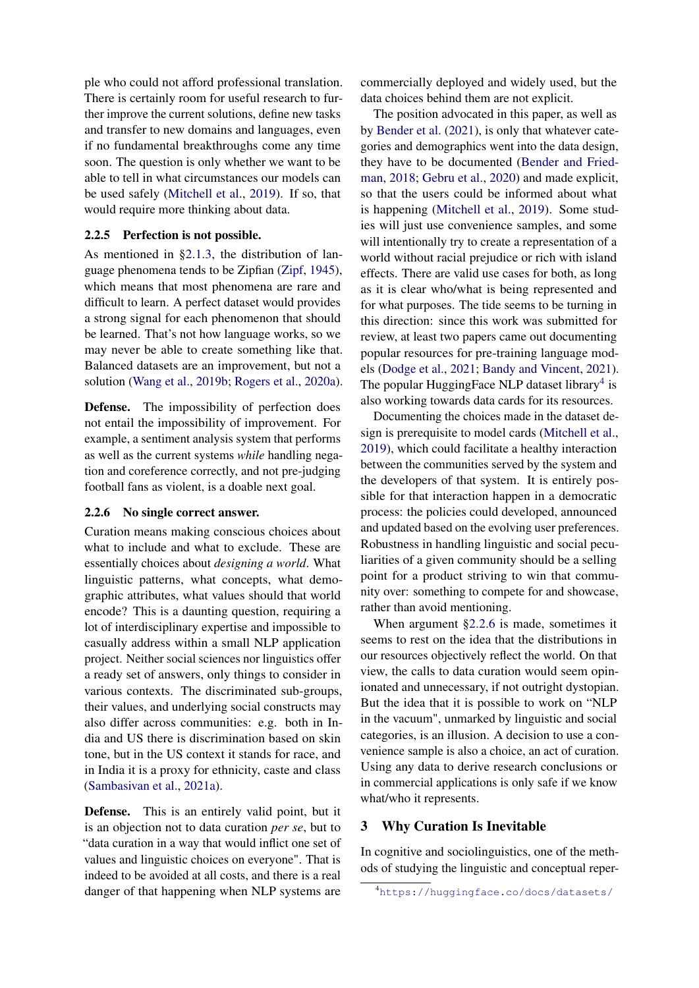ple who could not afford professional translation. There is certainly room for useful research to further improve the current solutions, define new tasks and transfer to new domains and languages, even if no fundamental breakthroughs come any time soon. The question is only whether we want to be able to tell in what circumstances our models can be used safely [\(Mitchell et al.,](#page-11-11) [2019\)](#page-11-11). If so, that would require more thinking about data.

# 2.2.5 Perfection is not possible.

As mentioned in [§2.1.3,](#page-1-1) the distribution of language phenomena tends to be Zipfian [\(Zipf,](#page-12-2) [1945\)](#page-12-2), which means that most phenomena are rare and difficult to learn. A perfect dataset would provides a strong signal for each phenomenon that should be learned. That's not how language works, so we may never be able to create something like that. Balanced datasets are an improvement, but not a solution [\(Wang et al.,](#page-12-4) [2019b;](#page-12-4) [Rogers et al.,](#page-11-12) [2020a\)](#page-11-12).

Defense. The impossibility of perfection does not entail the impossibility of improvement. For example, a sentiment analysis system that performs as well as the current systems *while* handling negation and coreference correctly, and not pre-judging football fans as violent, is a doable next goal.

### <span id="page-4-2"></span>2.2.6 No single correct answer.

Curation means making conscious choices about what to include and what to exclude. These are essentially choices about *designing a world*. What linguistic patterns, what concepts, what demographic attributes, what values should that world encode? This is a daunting question, requiring a lot of interdisciplinary expertise and impossible to casually address within a small NLP application project. Neither social sciences nor linguistics offer a ready set of answers, only things to consider in various contexts. The discriminated sub-groups, their values, and underlying social constructs may also differ across communities: e.g. both in India and US there is discrimination based on skin tone, but in the US context it stands for race, and in India it is a proxy for ethnicity, caste and class [\(Sambasivan et al.,](#page-11-13) [2021a\)](#page-11-13).

Defense. This is an entirely valid point, but it is an objection not to data curation *per se*, but to "data curation in a way that would inflict one set of values and linguistic choices on everyone". That is indeed to be avoided at all costs, and there is a real danger of that happening when NLP systems are commercially deployed and widely used, but the data choices behind them are not explicit.

The position advocated in this paper, as well as by [Bender et al.](#page-9-2) [\(2021\)](#page-9-2), is only that whatever categories and demographics went into the data design, they have to be documented [\(Bender and Fried](#page-9-9)[man,](#page-9-9) [2018;](#page-9-9) [Gebru et al.,](#page-10-16) [2020\)](#page-10-16) and made explicit, so that the users could be informed about what is happening [\(Mitchell et al.,](#page-11-11) [2019\)](#page-11-11). Some studies will just use convenience samples, and some will intentionally try to create a representation of a world without racial prejudice or rich with island effects. There are valid use cases for both, as long as it is clear who/what is being represented and for what purposes. The tide seems to be turning in this direction: since this work was submitted for review, at least two papers came out documenting popular resources for pre-training language models [\(Dodge et al.,](#page-9-10) [2021;](#page-9-10) [Bandy and Vincent,](#page-9-11) [2021\)](#page-9-11). The popular HuggingFace NLP dataset library<sup>[4](#page-4-1)</sup> is also working towards data cards for its resources.

Documenting the choices made in the dataset design is prerequisite to model cards [\(Mitchell et al.,](#page-11-11) [2019\)](#page-11-11), which could facilitate a healthy interaction between the communities served by the system and the developers of that system. It is entirely possible for that interaction happen in a democratic process: the policies could developed, announced and updated based on the evolving user preferences. Robustness in handling linguistic and social peculiarities of a given community should be a selling point for a product striving to win that community over: something to compete for and showcase, rather than avoid mentioning.

When argument [§2.2.6](#page-4-2) is made, sometimes it seems to rest on the idea that the distributions in our resources objectively reflect the world. On that view, the calls to data curation would seem opinionated and unnecessary, if not outright dystopian. But the idea that it is possible to work on "NLP in the vacuum", unmarked by linguistic and social categories, is an illusion. A decision to use a convenience sample is also a choice, an act of curation. Using any data to derive research conclusions or in commercial applications is only safe if we know what/who it represents.

# <span id="page-4-0"></span>3 Why Curation Is Inevitable

In cognitive and sociolinguistics, one of the methods of studying the linguistic and conceptual reper-

<span id="page-4-1"></span><sup>4</sup><https://huggingface.co/docs/datasets/>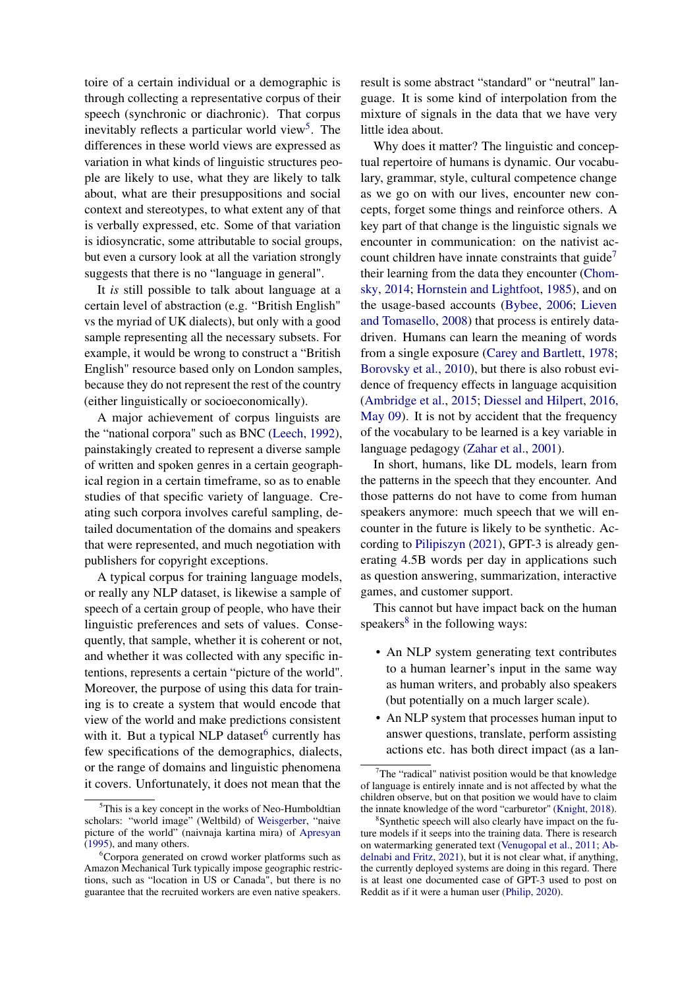toire of a certain individual or a demographic is through collecting a representative corpus of their speech (synchronic or diachronic). That corpus inevitably reflects a particular world view<sup>[5](#page-5-0)</sup>. The differences in these world views are expressed as variation in what kinds of linguistic structures people are likely to use, what they are likely to talk about, what are their presuppositions and social context and stereotypes, to what extent any of that is verbally expressed, etc. Some of that variation is idiosyncratic, some attributable to social groups, but even a cursory look at all the variation strongly suggests that there is no "language in general".

It *is* still possible to talk about language at a certain level of abstraction (e.g. "British English" vs the myriad of UK dialects), but only with a good sample representing all the necessary subsets. For example, it would be wrong to construct a "British English" resource based only on London samples, because they do not represent the rest of the country (either linguistically or socioeconomically).

A major achievement of corpus linguists are the "national corpora" such as BNC [\(Leech,](#page-10-17) [1992\)](#page-10-17), painstakingly created to represent a diverse sample of written and spoken genres in a certain geographical region in a certain timeframe, so as to enable studies of that specific variety of language. Creating such corpora involves careful sampling, detailed documentation of the domains and speakers that were represented, and much negotiation with publishers for copyright exceptions.

A typical corpus for training language models, or really any NLP dataset, is likewise a sample of speech of a certain group of people, who have their linguistic preferences and sets of values. Consequently, that sample, whether it is coherent or not, and whether it was collected with any specific intentions, represents a certain "picture of the world". Moreover, the purpose of using this data for training is to create a system that would encode that view of the world and make predictions consistent with it. But a typical NLP dataset<sup>[6](#page-5-1)</sup> currently has few specifications of the demographics, dialects, or the range of domains and linguistic phenomena it covers. Unfortunately, it does not mean that the

result is some abstract "standard" or "neutral" language. It is some kind of interpolation from the mixture of signals in the data that we have very little idea about.

Why does it matter? The linguistic and conceptual repertoire of humans is dynamic. Our vocabulary, grammar, style, cultural competence change as we go on with our lives, encounter new concepts, forget some things and reinforce others. A key part of that change is the linguistic signals we encounter in communication: on the nativist account children have innate constraints that guide<sup> $\prime$ </sup> their learning from the data they encounter [\(Chom](#page-9-13)[sky,](#page-9-13) [2014;](#page-9-13) [Hornstein and Lightfoot,](#page-10-18) [1985\)](#page-10-18), and on the usage-based accounts [\(Bybee,](#page-9-14) [2006;](#page-9-14) [Lieven](#page-10-19) [and Tomasello,](#page-10-19) [2008\)](#page-10-19) that process is entirely datadriven. Humans can learn the meaning of words from a single exposure [\(Carey and Bartlett,](#page-9-15) [1978;](#page-9-15) [Borovsky et al.,](#page-9-16) [2010\)](#page-9-16), but there is also robust evidence of frequency effects in language acquisition [\(Ambridge et al.,](#page-9-17) [2015;](#page-9-17) [Diessel and Hilpert,](#page-9-18) [2016,](#page-9-18) [May 09\)](#page-9-18). It is not by accident that the frequency of the vocabulary to be learned is a key variable in language pedagogy [\(Zahar et al.,](#page-12-6) [2001\)](#page-12-6).

In short, humans, like DL models, learn from the patterns in the speech that they encounter. And those patterns do not have to come from human speakers anymore: much speech that we will encounter in the future is likely to be synthetic. According to [Pilipiszyn](#page-11-14) [\(2021\)](#page-11-14), GPT-3 is already generating 4.5B words per day in applications such as question answering, summarization, interactive games, and customer support.

This cannot but have impact back on the human speakers<sup>[8](#page-5-3)</sup> in the following ways:

- An NLP system generating text contributes to a human learner's input in the same way as human writers, and probably also speakers (but potentially on a much larger scale).
- An NLP system that processes human input to answer questions, translate, perform assisting actions etc. has both direct impact (as a lan-

<span id="page-5-0"></span><sup>5</sup>This is a key concept in the works of Neo-Humboldtian scholars: "world image" (Weltbild) of [Weisgerber,](#page-12-5) "naive picture of the world" (naivnaja kartina mira) of [Apresyan](#page-9-12) [\(1995\)](#page-9-12), and many others.

<span id="page-5-1"></span><sup>6</sup>Corpora generated on crowd worker platforms such as Amazon Mechanical Turk typically impose geographic restrictions, such as "location in US or Canada", but there is no guarantee that the recruited workers are even native speakers.

<span id="page-5-2"></span> $T$ The "radical" nativist position would be that knowledge of language is entirely innate and is not affected by what the children observe, but on that position we would have to claim the innate knowledge of the word "carburetor" [\(Knight,](#page-10-20) [2018\)](#page-10-20).

<span id="page-5-3"></span><sup>8</sup> Synthetic speech will also clearly have impact on the future models if it seeps into the training data. There is research on watermarking generated text [\(Venugopal et al.,](#page-11-15) [2011;](#page-11-15) [Ab](#page-9-19)[delnabi and Fritz,](#page-9-19) [2021\)](#page-9-19), but it is not clear what, if anything, the currently deployed systems are doing in this regard. There is at least one documented case of GPT-3 used to post on Reddit as if it were a human user [\(Philip,](#page-11-16) [2020\)](#page-11-16).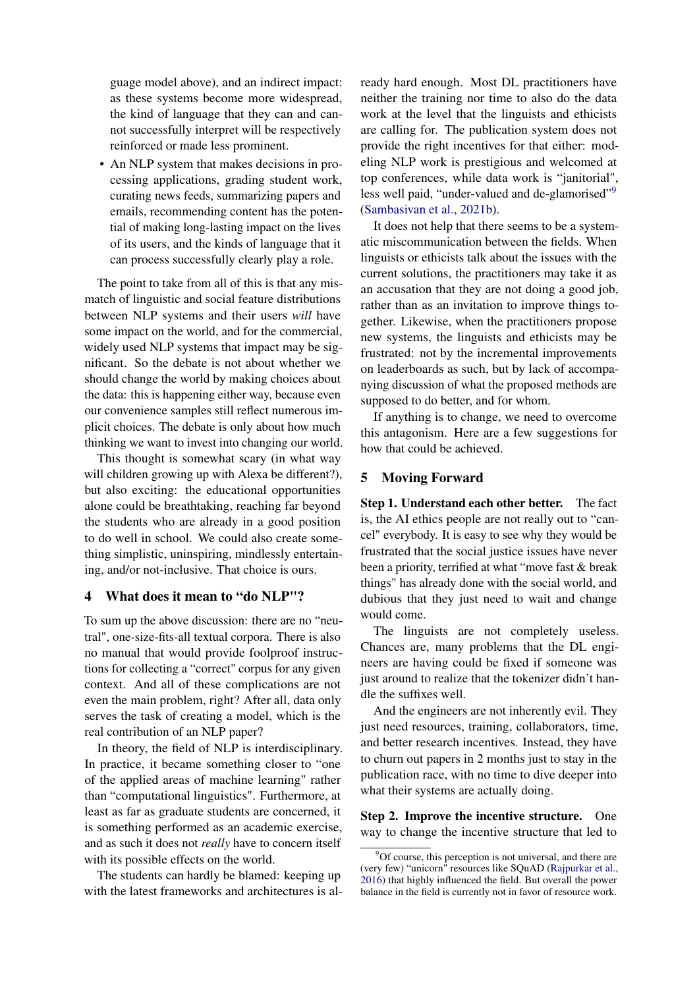guage model above), and an indirect impact: as these systems become more widespread, the kind of language that they can and cannot successfully interpret will be respectively reinforced or made less prominent.

• An NLP system that makes decisions in processing applications, grading student work, curating news feeds, summarizing papers and emails, recommending content has the potential of making long-lasting impact on the lives of its users, and the kinds of language that it can process successfully clearly play a role.

The point to take from all of this is that any mismatch of linguistic and social feature distributions between NLP systems and their users *will* have some impact on the world, and for the commercial, widely used NLP systems that impact may be significant. So the debate is not about whether we should change the world by making choices about the data: this is happening either way, because even our convenience samples still reflect numerous implicit choices. The debate is only about how much thinking we want to invest into changing our world.

This thought is somewhat scary (in what way will children growing up with Alexa be different?), but also exciting: the educational opportunities alone could be breathtaking, reaching far beyond the students who are already in a good position to do well in school. We could also create something simplistic, uninspiring, mindlessly entertaining, and/or not-inclusive. That choice is ours.

# <span id="page-6-0"></span>4 What does it mean to "do NLP"?

To sum up the above discussion: there are no "neutral", one-size-fits-all textual corpora. There is also no manual that would provide foolproof instructions for collecting a "correct" corpus for any given context. And all of these complications are not even the main problem, right? After all, data only serves the task of creating a model, which is the real contribution of an NLP paper?

In theory, the field of NLP is interdisciplinary. In practice, it became something closer to "one of the applied areas of machine learning" rather than "computational linguistics". Furthermore, at least as far as graduate students are concerned, it is something performed as an academic exercise, and as such it does not *really* have to concern itself with its possible effects on the world.

The students can hardly be blamed: keeping up with the latest frameworks and architectures is already hard enough. Most DL practitioners have neither the training nor time to also do the data work at the level that the linguists and ethicists are calling for. The publication system does not provide the right incentives for that either: modeling NLP work is prestigious and welcomed at top conferences, while data work is "janitorial", less well paid, "under-valued and de-glamorised"<sup>[9](#page-6-2)</sup> [\(Sambasivan et al.,](#page-11-17) [2021b\)](#page-11-17).

It does not help that there seems to be a systematic miscommunication between the fields. When linguists or ethicists talk about the issues with the current solutions, the practitioners may take it as an accusation that they are not doing a good job, rather than as an invitation to improve things together. Likewise, when the practitioners propose new systems, the linguists and ethicists may be frustrated: not by the incremental improvements on leaderboards as such, but by lack of accompanying discussion of what the proposed methods are supposed to do better, and for whom.

If anything is to change, we need to overcome this antagonism. Here are a few suggestions for how that could be achieved.

# <span id="page-6-1"></span>5 Moving Forward

Step 1. Understand each other better. The fact is, the AI ethics people are not really out to "cancel" everybody. It is easy to see why they would be frustrated that the social justice issues have never been a priority, terrified at what "move fast & break things" has already done with the social world, and dubious that they just need to wait and change would come.

The linguists are not completely useless. Chances are, many problems that the DL engineers are having could be fixed if someone was just around to realize that the tokenizer didn't handle the suffixes well.

And the engineers are not inherently evil. They just need resources, training, collaborators, time, and better research incentives. Instead, they have to churn out papers in 2 months just to stay in the publication race, with no time to dive deeper into what their systems are actually doing.

Step 2. Improve the incentive structure. One way to change the incentive structure that led to

<span id="page-6-2"></span> $9^9$ Of course, this perception is not universal, and there are (very few) "unicorn" resources like SQuAD [\(Rajpurkar et al.,](#page-11-18) [2016\)](#page-11-18) that highly influenced the field. But overall the power balance in the field is currently not in favor of resource work.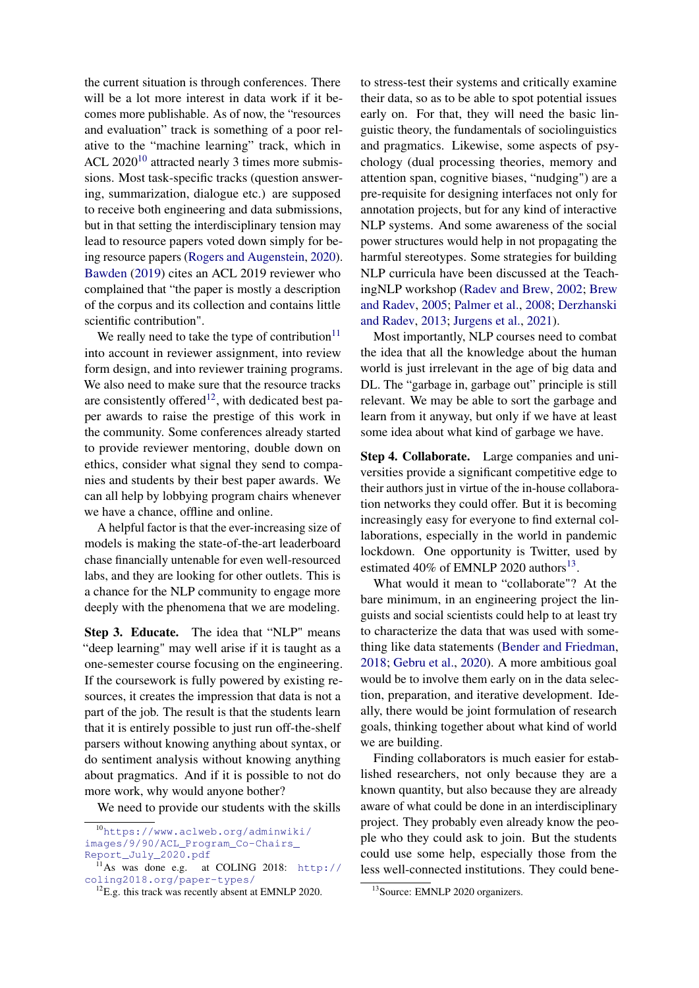the current situation is through conferences. There will be a lot more interest in data work if it becomes more publishable. As of now, the "resources and evaluation" track is something of a poor relative to the "machine learning" track, which in ACL  $2020^{10}$  $2020^{10}$  $2020^{10}$  attracted nearly 3 times more submissions. Most task-specific tracks (question answering, summarization, dialogue etc.) are supposed to receive both engineering and data submissions, but in that setting the interdisciplinary tension may lead to resource papers voted down simply for being resource papers [\(Rogers and Augenstein,](#page-11-19) [2020\)](#page-11-19). [Bawden](#page-9-20) [\(2019\)](#page-9-20) cites an ACL 2019 reviewer who complained that "the paper is mostly a description of the corpus and its collection and contains little scientific contribution".

We really need to take the type of contribution $11$ into account in reviewer assignment, into review form design, and into reviewer training programs. We also need to make sure that the resource tracks are consistently offered<sup>[12](#page-7-2)</sup>, with dedicated best paper awards to raise the prestige of this work in the community. Some conferences already started to provide reviewer mentoring, double down on ethics, consider what signal they send to companies and students by their best paper awards. We can all help by lobbying program chairs whenever we have a chance, offline and online.

A helpful factor is that the ever-increasing size of models is making the state-of-the-art leaderboard chase financially untenable for even well-resourced labs, and they are looking for other outlets. This is a chance for the NLP community to engage more deeply with the phenomena that we are modeling.

Step 3. Educate. The idea that "NLP" means "deep learning" may well arise if it is taught as a one-semester course focusing on the engineering. If the coursework is fully powered by existing resources, it creates the impression that data is not a part of the job. The result is that the students learn that it is entirely possible to just run off-the-shelf parsers without knowing anything about syntax, or do sentiment analysis without knowing anything about pragmatics. And if it is possible to not do more work, why would anyone bother?

We need to provide our students with the skills

to stress-test their systems and critically examine their data, so as to be able to spot potential issues early on. For that, they will need the basic linguistic theory, the fundamentals of sociolinguistics and pragmatics. Likewise, some aspects of psychology (dual processing theories, memory and attention span, cognitive biases, "nudging") are a pre-requisite for designing interfaces not only for annotation projects, but for any kind of interactive NLP systems. And some awareness of the social power structures would help in not propagating the harmful stereotypes. Some strategies for building NLP curricula have been discussed at the TeachingNLP workshop [\(Radev and Brew,](#page-11-20) [2002;](#page-11-20) [Brew](#page-9-21) [and Radev,](#page-9-21) [2005;](#page-9-21) [Palmer et al.,](#page-11-21) [2008;](#page-11-21) [Derzhanski](#page-9-22) [and Radev,](#page-9-22) [2013;](#page-9-22) [Jurgens et al.,](#page-10-21) [2021\)](#page-10-21).

Most importantly, NLP courses need to combat the idea that all the knowledge about the human world is just irrelevant in the age of big data and DL. The "garbage in, garbage out" principle is still relevant. We may be able to sort the garbage and learn from it anyway, but only if we have at least some idea about what kind of garbage we have.

Step 4. Collaborate. Large companies and universities provide a significant competitive edge to their authors just in virtue of the in-house collaboration networks they could offer. But it is becoming increasingly easy for everyone to find external collaborations, especially in the world in pandemic lockdown. One opportunity is Twitter, used by estimated 40% of EMNLP 2020 authors<sup>[13](#page-7-3)</sup>.

What would it mean to "collaborate"? At the bare minimum, in an engineering project the linguists and social scientists could help to at least try to characterize the data that was used with something like data statements [\(Bender and Friedman,](#page-9-9) [2018;](#page-9-9) [Gebru et al.,](#page-10-16) [2020\)](#page-10-16). A more ambitious goal would be to involve them early on in the data selection, preparation, and iterative development. Ideally, there would be joint formulation of research goals, thinking together about what kind of world we are building.

Finding collaborators is much easier for established researchers, not only because they are a known quantity, but also because they are already aware of what could be done in an interdisciplinary project. They probably even already know the people who they could ask to join. But the students could use some help, especially those from the less well-connected institutions. They could bene-

<span id="page-7-0"></span><sup>10</sup>[https://www.aclweb.org/adminwiki/](https://www.aclweb.org/adminwiki/images/9/90/ACL_Program_Co-Chairs_Report_July_2020.pdf) [images/9/90/ACL\\_Program\\_Co-Chairs\\_](https://www.aclweb.org/adminwiki/images/9/90/ACL_Program_Co-Chairs_Report_July_2020.pdf) [Report\\_July\\_2020.pdf](https://www.aclweb.org/adminwiki/images/9/90/ACL_Program_Co-Chairs_Report_July_2020.pdf)

<span id="page-7-1"></span> $^{11}$ As was done e.g. at COLING 2018: [http://](http://coling2018.org/paper-types/) [coling2018.org/paper-types/](http://coling2018.org/paper-types/)

<span id="page-7-2"></span> $12$ E.g. this track was recently absent at EMNLP 2020.

<span id="page-7-3"></span><sup>&</sup>lt;sup>13</sup>Source: EMNLP 2020 organizers.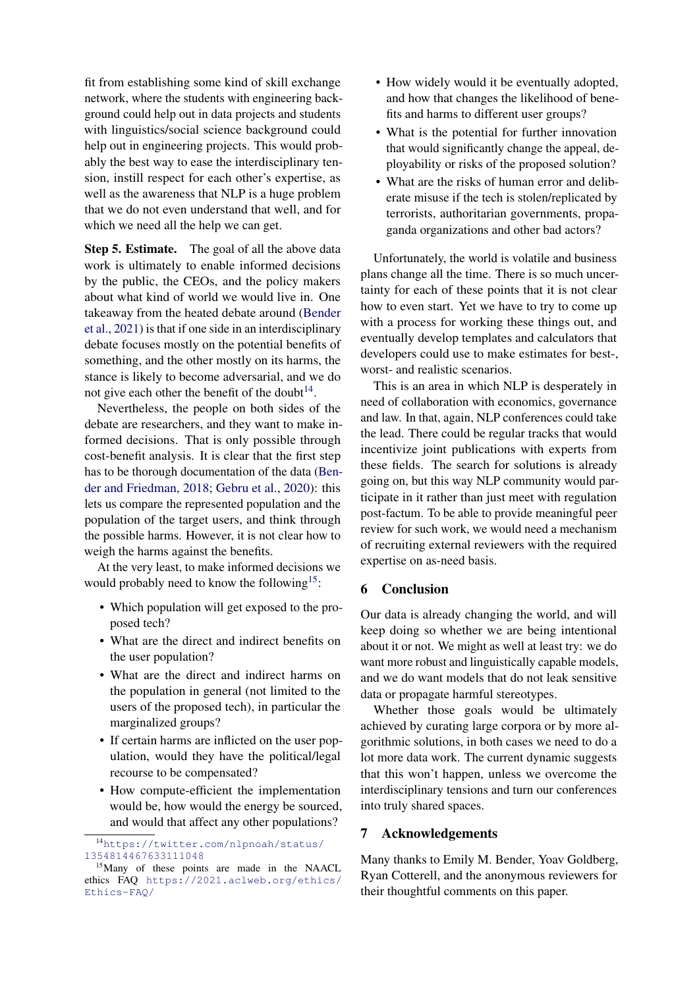fit from establishing some kind of skill exchange network, where the students with engineering background could help out in data projects and students with linguistics/social science background could help out in engineering projects. This would probably the best way to ease the interdisciplinary tension, instill respect for each other's expertise, as well as the awareness that NLP is a huge problem that we do not even understand that well, and for which we need all the help we can get.

Step 5. Estimate. The goal of all the above data work is ultimately to enable informed decisions by the public, the CEOs, and the policy makers about what kind of world we would live in. One takeaway from the heated debate around [\(Bender](#page-9-2) [et al.,](#page-9-2) [2021\)](#page-9-2) is that if one side in an interdisciplinary debate focuses mostly on the potential benefits of something, and the other mostly on its harms, the stance is likely to become adversarial, and we do not give each other the benefit of the doubt $14$ .

Nevertheless, the people on both sides of the debate are researchers, and they want to make informed decisions. That is only possible through cost-benefit analysis. It is clear that the first step has to be thorough documentation of the data [\(Ben](#page-9-9)[der and Friedman,](#page-9-9) [2018;](#page-9-9) [Gebru et al.,](#page-10-16) [2020\)](#page-10-16): this lets us compare the represented population and the population of the target users, and think through the possible harms. However, it is not clear how to weigh the harms against the benefits.

At the very least, to make informed decisions we would probably need to know the following<sup>[15](#page-8-1)</sup>:

- Which population will get exposed to the proposed tech?
- What are the direct and indirect benefits on the user population?
- What are the direct and indirect harms on the population in general (not limited to the users of the proposed tech), in particular the marginalized groups?
- If certain harms are inflicted on the user population, would they have the political/legal recourse to be compensated?
- How compute-efficient the implementation would be, how would the energy be sourced, and would that affect any other populations?
- How widely would it be eventually adopted, and how that changes the likelihood of benefits and harms to different user groups?
- What is the potential for further innovation that would significantly change the appeal, deployability or risks of the proposed solution?
- What are the risks of human error and deliberate misuse if the tech is stolen/replicated by terrorists, authoritarian governments, propaganda organizations and other bad actors?

Unfortunately, the world is volatile and business plans change all the time. There is so much uncertainty for each of these points that it is not clear how to even start. Yet we have to try to come up with a process for working these things out, and eventually develop templates and calculators that developers could use to make estimates for best-, worst- and realistic scenarios.

This is an area in which NLP is desperately in need of collaboration with economics, governance and law. In that, again, NLP conferences could take the lead. There could be regular tracks that would incentivize joint publications with experts from these fields. The search for solutions is already going on, but this way NLP community would participate in it rather than just meet with regulation post-factum. To be able to provide meaningful peer review for such work, we would need a mechanism of recruiting external reviewers with the required expertise on as-need basis.

# 6 Conclusion

Our data is already changing the world, and will keep doing so whether we are being intentional about it or not. We might as well at least try: we do want more robust and linguistically capable models, and we do want models that do not leak sensitive data or propagate harmful stereotypes.

Whether those goals would be ultimately achieved by curating large corpora or by more algorithmic solutions, in both cases we need to do a lot more data work. The current dynamic suggests that this won't happen, unless we overcome the interdisciplinary tensions and turn our conferences into truly shared spaces.

# 7 Acknowledgements

Many thanks to Emily M. Bender, Yoav Goldberg, Ryan Cotterell, and the anonymous reviewers for their thoughtful comments on this paper.

<span id="page-8-0"></span><sup>14</sup>[https://twitter.com/nlpnoah/status/](https://twitter.com/nlpnoah/status/1354814467633111048) [1354814467633111048](https://twitter.com/nlpnoah/status/1354814467633111048)

<span id="page-8-1"></span><sup>15</sup>Many of these points are made in the NAACL ethics FAQ [https://2021.aclweb.org/ethics/](https://2021.aclweb.org/ethics/Ethics-FAQ/) [Ethics-FAQ/](https://2021.aclweb.org/ethics/Ethics-FAQ/)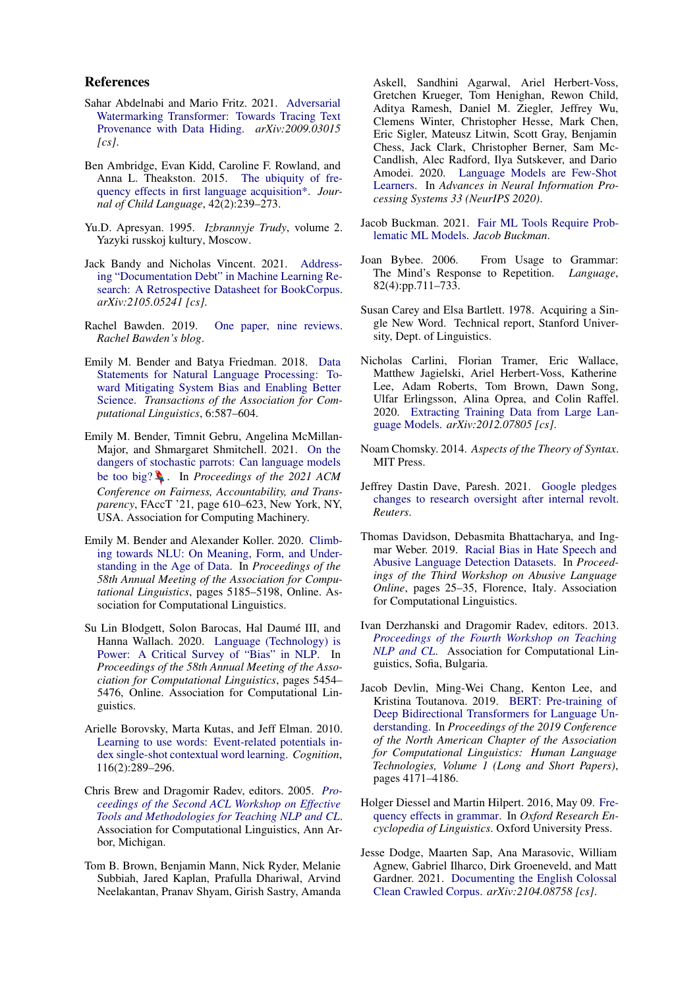### References

- <span id="page-9-19"></span>Sahar Abdelnabi and Mario Fritz. 2021. [Adversarial](http://arxiv.org/abs/2009.03015) [Watermarking Transformer: Towards Tracing Text](http://arxiv.org/abs/2009.03015) [Provenance with Data Hiding.](http://arxiv.org/abs/2009.03015) *arXiv:2009.03015 [cs]*.
- <span id="page-9-17"></span>Ben Ambridge, Evan Kidd, Caroline F. Rowland, and Anna L. Theakston. 2015. [The ubiquity of fre](https://doi.org/10.1017/S030500091400049X)[quency effects in first language acquisition\\*.](https://doi.org/10.1017/S030500091400049X) *Journal of Child Language*, 42(2):239–273.
- <span id="page-9-12"></span>Yu.D. Apresyan. 1995. *Izbrannyje Trudy*, volume 2. Yazyki russkoj kultury, Moscow.
- <span id="page-9-11"></span>Jack Bandy and Nicholas Vincent. 2021. [Address](http://arxiv.org/abs/2105.05241)[ing "Documentation Debt" in Machine Learning Re](http://arxiv.org/abs/2105.05241)[search: A Retrospective Datasheet for BookCorpus.](http://arxiv.org/abs/2105.05241) *arXiv:2105.05241 [cs]*.
- <span id="page-9-20"></span>Rachel Bawden. 2019. [One paper, nine reviews.](https://rbawden.wordpress.com/2019/07/19/one-paper-nine-reviews/) *Rachel Bawden's blog*.
- <span id="page-9-9"></span>Emily M. Bender and Batya Friedman. 2018. [Data](https://doi.org/10.1162/tacl_a_00041) [Statements for Natural Language Processing: To](https://doi.org/10.1162/tacl_a_00041)[ward Mitigating System Bias and Enabling Better](https://doi.org/10.1162/tacl_a_00041) [Science.](https://doi.org/10.1162/tacl_a_00041) *Transactions of the Association for Computational Linguistics*, 6:587–604.
- <span id="page-9-2"></span>Emily M. Bender, Timnit Gebru, Angelina McMillan-Major, and Shmargaret Shmitchell. 2021. [On the](https://doi.org/10.1145/3442188.3445922) [dangers of stochastic parrots: Can language models](https://doi.org/10.1145/3442188.3445922) [be too big?](https://doi.org/10.1145/3442188.3445922) . In *Proceedings of the 2021 ACM Conference on Fairness, Accountability, and Transparency*, FAccT '21, page 610–623, New York, NY, USA. Association for Computing Machinery.
- <span id="page-9-8"></span>Emily M. Bender and Alexander Koller. 2020. [Climb](https://doi.org/10.18653/v1/2020.acl-main.463)[ing towards NLU: On Meaning, Form, and Under](https://doi.org/10.18653/v1/2020.acl-main.463)[standing in the Age of Data.](https://doi.org/10.18653/v1/2020.acl-main.463) In *Proceedings of the 58th Annual Meeting of the Association for Computational Linguistics*, pages 5185–5198, Online. Association for Computational Linguistics.
- <span id="page-9-3"></span>Su Lin Blodgett, Solon Barocas, Hal Daumé III, and Hanna Wallach. 2020. [Language \(Technology\) is](https://doi.org/10.18653/v1/2020.acl-main.485) [Power: A Critical Survey of "Bias" in NLP.](https://doi.org/10.18653/v1/2020.acl-main.485) In *Proceedings of the 58th Annual Meeting of the Association for Computational Linguistics*, pages 5454– 5476, Online. Association for Computational Linguistics.
- <span id="page-9-16"></span>Arielle Borovsky, Marta Kutas, and Jeff Elman. 2010. [Learning to use words: Event-related potentials in](https://doi.org/10.1016/j.cognition.2010.05.004)[dex single-shot contextual word learning.](https://doi.org/10.1016/j.cognition.2010.05.004) *Cognition*, 116(2):289–296.
- <span id="page-9-21"></span>Chris Brew and Dragomir Radev, editors. 2005. *[Pro](https://www.aclweb.org/anthology/W05-0100)[ceedings of the Second ACL Workshop on Effective](https://www.aclweb.org/anthology/W05-0100) [Tools and Methodologies for Teaching NLP and CL](https://www.aclweb.org/anthology/W05-0100)*. Association for Computational Linguistics, Ann Arbor, Michigan.
- <span id="page-9-6"></span>Tom B. Brown, Benjamin Mann, Nick Ryder, Melanie Subbiah, Jared Kaplan, Prafulla Dhariwal, Arvind Neelakantan, Pranav Shyam, Girish Sastry, Amanda

Askell, Sandhini Agarwal, Ariel Herbert-Voss, Gretchen Krueger, Tom Henighan, Rewon Child, Aditya Ramesh, Daniel M. Ziegler, Jeffrey Wu, Clemens Winter, Christopher Hesse, Mark Chen, Eric Sigler, Mateusz Litwin, Scott Gray, Benjamin Chess, Jack Clark, Christopher Berner, Sam Mc-Candlish, Alec Radford, Ilya Sutskever, and Dario Amodei. 2020. [Language Models are Few-Shot](http://arxiv.org/abs/2005.14165) [Learners.](http://arxiv.org/abs/2005.14165) In *Advances in Neural Information Processing Systems 33 (NeurIPS 2020)*.

- <span id="page-9-7"></span>Jacob Buckman. 2021. [Fair ML Tools Require Prob](https://jacobbuckman.com/2021-02-15-fair-ml-tools-require-problematic-ml-models/)[lematic ML Models.](https://jacobbuckman.com/2021-02-15-fair-ml-tools-require-problematic-ml-models/) *Jacob Buckman*.
- <span id="page-9-14"></span>Joan Bybee. 2006. From Usage to Grammar: The Mind's Response to Repetition. *Language*, 82(4):pp.711–733.
- <span id="page-9-15"></span>Susan Carey and Elsa Bartlett. 1978. Acquiring a Single New Word. Technical report, Stanford University, Dept. of Linguistics.
- <span id="page-9-4"></span>Nicholas Carlini, Florian Tramer, Eric Wallace, Matthew Jagielski, Ariel Herbert-Voss, Katherine Lee, Adam Roberts, Tom Brown, Dawn Song, Ulfar Erlingsson, Alina Oprea, and Colin Raffel. 2020. [Extracting Training Data from Large Lan](http://arxiv.org/abs/2012.07805)[guage Models.](http://arxiv.org/abs/2012.07805) *arXiv:2012.07805 [cs]*.
- <span id="page-9-13"></span>Noam Chomsky. 2014. *Aspects of the Theory of Syntax*. MIT Press.
- <span id="page-9-5"></span>Jeffrey Dastin Dave, Paresh. 2021. [Google pledges](https://www.reuters.com/article/us-alphabet-google-research-exclusive-idUSKBN2AP1AC) [changes to research oversight after internal revolt.](https://www.reuters.com/article/us-alphabet-google-research-exclusive-idUSKBN2AP1AC) *Reuters*.
- <span id="page-9-1"></span>Thomas Davidson, Debasmita Bhattacharya, and Ingmar Weber. 2019. [Racial Bias in Hate Speech and](https://doi.org/10.18653/v1/W19-3504) [Abusive Language Detection Datasets.](https://doi.org/10.18653/v1/W19-3504) In *Proceedings of the Third Workshop on Abusive Language Online*, pages 25–35, Florence, Italy. Association for Computational Linguistics.
- <span id="page-9-22"></span>Ivan Derzhanski and Dragomir Radev, editors. 2013. *[Proceedings of the Fourth Workshop on Teaching](https://www.aclweb.org/anthology/W13-3400) [NLP and CL](https://www.aclweb.org/anthology/W13-3400)*. Association for Computational Linguistics, Sofia, Bulgaria.
- <span id="page-9-0"></span>Jacob Devlin, Ming-Wei Chang, Kenton Lee, and Kristina Toutanova. 2019. [BERT: Pre-training of](https://aclweb.org/anthology/papers/N/N19/N19-1423/) [Deep Bidirectional Transformers for Language Un](https://aclweb.org/anthology/papers/N/N19/N19-1423/)[derstanding.](https://aclweb.org/anthology/papers/N/N19/N19-1423/) In *Proceedings of the 2019 Conference of the North American Chapter of the Association for Computational Linguistics: Human Language Technologies, Volume 1 (Long and Short Papers)*, pages 4171–4186.
- <span id="page-9-18"></span>Holger Diessel and Martin Hilpert. 2016, May 09. [Fre](https://doi.org/10.1093/acrefore/9780199384655.013.120)[quency effects in grammar.](https://doi.org/10.1093/acrefore/9780199384655.013.120) In *Oxford Research Encyclopedia of Linguistics*. Oxford University Press.
- <span id="page-9-10"></span>Jesse Dodge, Maarten Sap, Ana Marasovic, William Agnew, Gabriel Ilharco, Dirk Groeneveld, and Matt Gardner. 2021. [Documenting the English Colossal](http://arxiv.org/abs/2104.08758) [Clean Crawled Corpus.](http://arxiv.org/abs/2104.08758) *arXiv:2104.08758 [cs]*.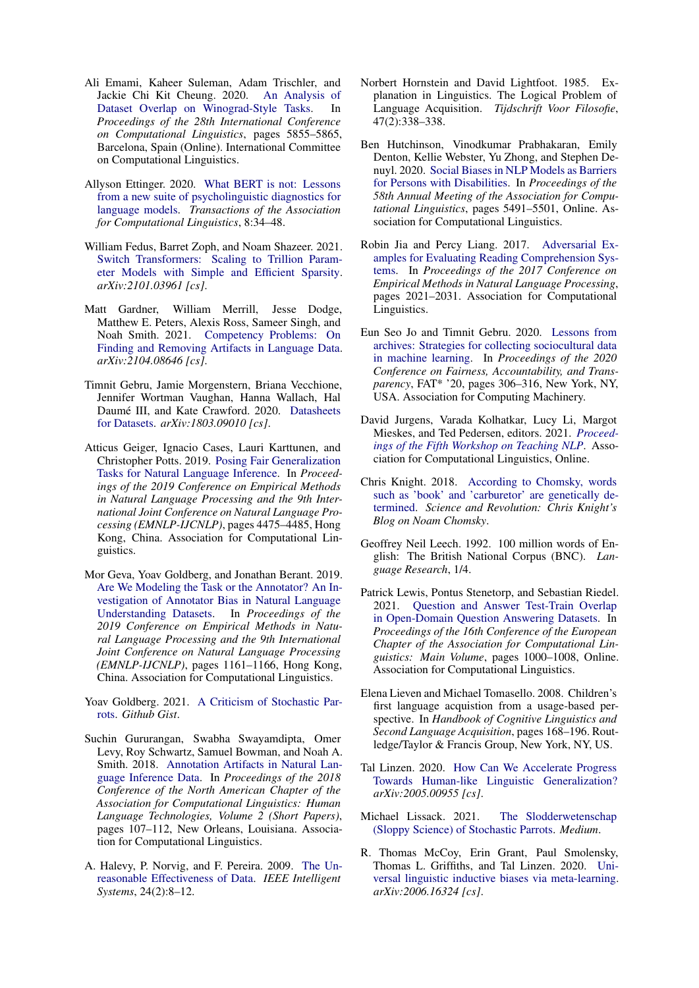- <span id="page-10-10"></span>Ali Emami, Kaheer Suleman, Adam Trischler, and Jackie Chi Kit Cheung. 2020. [An Analysis of](https://doi.org/10.18653/v1/2020.coling-main.515) [Dataset Overlap on Winograd-Style Tasks.](https://doi.org/10.18653/v1/2020.coling-main.515) In *Proceedings of the 28th International Conference on Computational Linguistics*, pages 5855–5865, Barcelona, Spain (Online). International Committee on Computational Linguistics.
- <span id="page-10-7"></span>Allyson Ettinger. 2020. [What BERT is not: Lessons](https://doi.org/10.1162/tacl_a_00298) [from a new suite of psycholinguistic diagnostics for](https://doi.org/10.1162/tacl_a_00298) [language models.](https://doi.org/10.1162/tacl_a_00298) *Transactions of the Association for Computational Linguistics*, 8:34–48.
- <span id="page-10-15"></span>William Fedus, Barret Zoph, and Noam Shazeer. 2021. [Switch Transformers: Scaling to Trillion Param](http://arxiv.org/abs/2101.03961)[eter Models with Simple and Efficient Sparsity.](http://arxiv.org/abs/2101.03961) *arXiv:2101.03961 [cs]*.
- <span id="page-10-6"></span>Matt Gardner, William Merrill, Jesse Dodge, Matthew E. Peters, Alexis Ross, Sameer Singh, and Noah Smith. 2021. [Competency Problems: On](http://arxiv.org/abs/2104.08646) [Finding and Removing Artifacts in Language Data.](http://arxiv.org/abs/2104.08646) *arXiv:2104.08646 [cs]*.
- <span id="page-10-16"></span>Timnit Gebru, Jamie Morgenstern, Briana Vecchione, Jennifer Wortman Vaughan, Hanna Wallach, Hal Daumé III, and Kate Crawford. 2020. [Datasheets](http://arxiv.org/abs/1803.09010) [for Datasets.](http://arxiv.org/abs/1803.09010) *arXiv:1803.09010 [cs]*.
- <span id="page-10-8"></span>Atticus Geiger, Ignacio Cases, Lauri Karttunen, and Christopher Potts. 2019. [Posing Fair Generalization](https://doi.org/10.18653/v1/D19-1456) [Tasks for Natural Language Inference.](https://doi.org/10.18653/v1/D19-1456) In *Proceedings of the 2019 Conference on Empirical Methods in Natural Language Processing and the 9th International Joint Conference on Natural Language Processing (EMNLP-IJCNLP)*, pages 4475–4485, Hong Kong, China. Association for Computational Linguistics.
- <span id="page-10-4"></span>Mor Geva, Yoav Goldberg, and Jonathan Berant. 2019. [Are We Modeling the Task or the Annotator? An In](https://doi.org/10.18653/v1/D19-1107)[vestigation of Annotator Bias in Natural Language](https://doi.org/10.18653/v1/D19-1107) [Understanding Datasets.](https://doi.org/10.18653/v1/D19-1107) In *Proceedings of the 2019 Conference on Empirical Methods in Natural Language Processing and the 9th International Joint Conference on Natural Language Processing (EMNLP-IJCNLP)*, pages 1161–1166, Hong Kong, China. Association for Computational Linguistics.
- <span id="page-10-12"></span>Yoav Goldberg. 2021. [A Criticism of Stochastic Par](https://gist.github.com/yoavg/9fc9be2f98b47c189a513573d902fb27)[rots.](https://gist.github.com/yoavg/9fc9be2f98b47c189a513573d902fb27) *Github Gist*.
- <span id="page-10-0"></span>Suchin Gururangan, Swabha Swayamdipta, Omer Levy, Roy Schwartz, Samuel Bowman, and Noah A. Smith. 2018. [Annotation Artifacts in Natural Lan](https://doi.org/10.18653/v1/N18-2017)[guage Inference Data.](https://doi.org/10.18653/v1/N18-2017) In *Proceedings of the 2018 Conference of the North American Chapter of the Association for Computational Linguistics: Human Language Technologies, Volume 2 (Short Papers)*, pages 107–112, New Orleans, Louisiana. Association for Computational Linguistics.
- <span id="page-10-14"></span>A. Halevy, P. Norvig, and F. Pereira. 2009. [The Un](https://doi.org/10.1109/MIS.2009.36)[reasonable Effectiveness of Data.](https://doi.org/10.1109/MIS.2009.36) *IEEE Intelligent Systems*, 24(2):8–12.
- <span id="page-10-18"></span>Norbert Hornstein and David Lightfoot. 1985. Explanation in Linguistics. The Logical Problem of Language Acquisition. *Tijdschrift Voor Filosofie*, 47(2):338–338.
- <span id="page-10-1"></span>Ben Hutchinson, Vinodkumar Prabhakaran, Emily Denton, Kellie Webster, Yu Zhong, and Stephen Denuyl. 2020. [Social Biases in NLP Models as Barriers](https://doi.org/10.18653/v1/2020.acl-main.487) [for Persons with Disabilities.](https://doi.org/10.18653/v1/2020.acl-main.487) In *Proceedings of the 58th Annual Meeting of the Association for Computational Linguistics*, pages 5491–5501, Online. Association for Computational Linguistics.
- <span id="page-10-5"></span>Robin Jia and Percy Liang. 2017. [Adversarial Ex](https://doi.org/10.18653/v1/D17-1215)[amples for Evaluating Reading Comprehension Sys](https://doi.org/10.18653/v1/D17-1215)[tems.](https://doi.org/10.18653/v1/D17-1215) In *Proceedings of the 2017 Conference on Empirical Methods in Natural Language Processing*, pages 2021–2031. Association for Computational Linguistics.
- <span id="page-10-2"></span>Eun Seo Jo and Timnit Gebru. 2020. [Lessons from](https://doi.org/10.1145/3351095.3372829) [archives: Strategies for collecting sociocultural data](https://doi.org/10.1145/3351095.3372829) [in machine learning.](https://doi.org/10.1145/3351095.3372829) In *Proceedings of the 2020 Conference on Fairness, Accountability, and Transparency*, FAT\* '20, pages 306–316, New York, NY, USA. Association for Computing Machinery.
- <span id="page-10-21"></span>David Jurgens, Varada Kolhatkar, Lucy Li, Margot Mieskes, and Ted Pedersen, editors. 2021. *[Proceed](https://www.aclweb.org/anthology/2021.teachingnlp-1.0)[ings of the Fifth Workshop on Teaching NLP](https://www.aclweb.org/anthology/2021.teachingnlp-1.0)*. Association for Computational Linguistics, Online.
- <span id="page-10-20"></span>Chris Knight. 2018. [According to Chomsky, words](http://scienceandrevolution.org/blog/2018/10/15/chomsky-says-that-concepts-such-as-book-and-carburetor-are-innate) [such as 'book' and 'carburetor' are genetically de](http://scienceandrevolution.org/blog/2018/10/15/chomsky-says-that-concepts-such-as-book-and-carburetor-are-innate)[termined.](http://scienceandrevolution.org/blog/2018/10/15/chomsky-says-that-concepts-such-as-book-and-carburetor-are-innate) *Science and Revolution: Chris Knight's Blog on Noam Chomsky*.
- <span id="page-10-17"></span>Geoffrey Neil Leech. 1992. 100 million words of English: The British National Corpus (BNC). *Language Research*, 1/4.
- <span id="page-10-9"></span>Patrick Lewis, Pontus Stenetorp, and Sebastian Riedel. 2021. [Question and Answer Test-Train Overlap](https://www.aclweb.org/anthology/2021.eacl-main.86) [in Open-Domain Question Answering Datasets.](https://www.aclweb.org/anthology/2021.eacl-main.86) In *Proceedings of the 16th Conference of the European Chapter of the Association for Computational Linguistics: Main Volume*, pages 1000–1008, Online. Association for Computational Linguistics.
- <span id="page-10-19"></span>Elena Lieven and Michael Tomasello. 2008. Children's first language acquistion from a usage-based perspective. In *Handbook of Cognitive Linguistics and Second Language Acquisition*, pages 168–196. Routledge/Taylor & Francis Group, New York, NY, US.
- <span id="page-10-11"></span>Tal Linzen. 2020. [How Can We Accelerate Progress](http://arxiv.org/abs/2005.00955) [Towards Human-like Linguistic Generalization?](http://arxiv.org/abs/2005.00955) *arXiv:2005.00955 [cs]*.
- <span id="page-10-3"></span>Michael Lissack. 2021. [The Slodderwetenschap](https://michael-lissack.medium.com/the-slodderwetenschap-sloppy-science-of-stochastic-parrots-a-plea-for-science-to-not-take-the-b74fcf50dcce) [\(Sloppy Science\) of Stochastic Parrots.](https://michael-lissack.medium.com/the-slodderwetenschap-sloppy-science-of-stochastic-parrots-a-plea-for-science-to-not-take-the-b74fcf50dcce) *Medium*.
- <span id="page-10-13"></span>R. Thomas McCoy, Erin Grant, Paul Smolensky, Thomas L. Griffiths, and Tal Linzen. 2020. [Uni](http://arxiv.org/abs/2006.16324)[versal linguistic inductive biases via meta-learning.](http://arxiv.org/abs/2006.16324) *arXiv:2006.16324 [cs]*.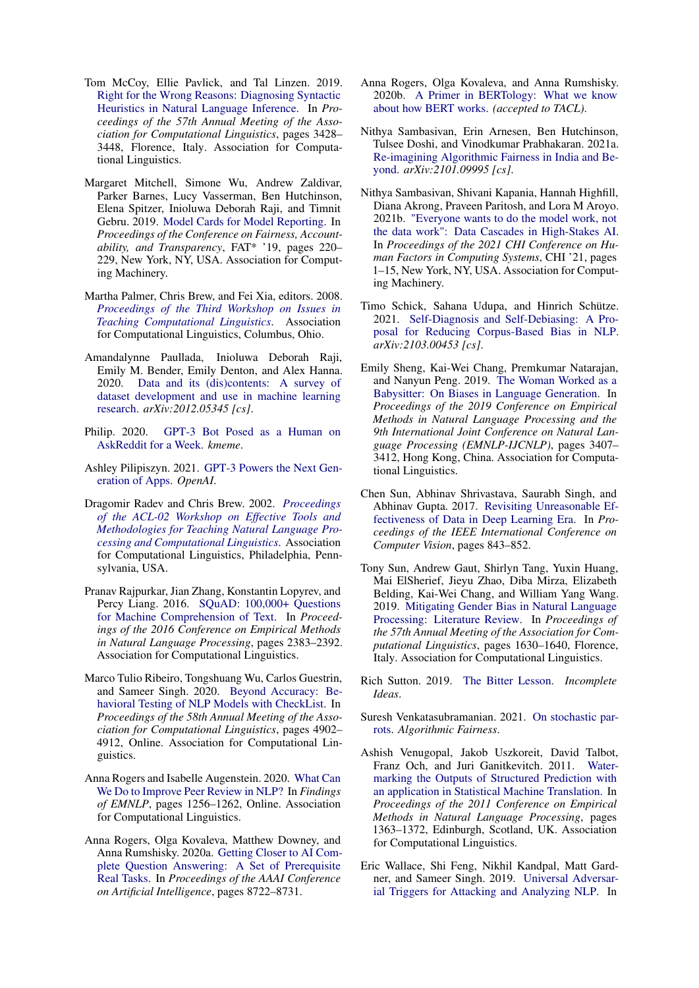- <span id="page-11-1"></span>Tom McCoy, Ellie Pavlick, and Tal Linzen. 2019. [Right for the Wrong Reasons: Diagnosing Syntactic](https://doi.org/10.18653/v1/P19-1334) [Heuristics in Natural Language Inference.](https://doi.org/10.18653/v1/P19-1334) In *Proceedings of the 57th Annual Meeting of the Association for Computational Linguistics*, pages 3428– 3448, Florence, Italy. Association for Computational Linguistics.
- <span id="page-11-11"></span>Margaret Mitchell, Simone Wu, Andrew Zaldivar, Parker Barnes, Lucy Vasserman, Ben Hutchinson, Elena Spitzer, Inioluwa Deborah Raji, and Timnit Gebru. 2019. [Model Cards for Model Reporting.](https://doi.org/10.1145/3287560.3287596) In *Proceedings of the Conference on Fairness, Accountability, and Transparency*, FAT\* '19, pages 220– 229, New York, NY, USA. Association for Computing Machinery.
- <span id="page-11-21"></span>Martha Palmer, Chris Brew, and Fei Xia, editors. 2008. *[Proceedings of the Third Workshop on Issues in](https://www.aclweb.org/anthology/W08-0200) [Teaching Computational Linguistics](https://www.aclweb.org/anthology/W08-0200)*. Association for Computational Linguistics, Columbus, Ohio.
- <span id="page-11-2"></span>Amandalynne Paullada, Inioluwa Deborah Raji, Emily M. Bender, Emily Denton, and Alex Hanna. 2020. [Data and its \(dis\)contents: A survey of](http://arxiv.org/abs/2012.05345) [dataset development and use in machine learning](http://arxiv.org/abs/2012.05345) [research.](http://arxiv.org/abs/2012.05345) *arXiv:2012.05345 [cs]*.
- <span id="page-11-16"></span>Philip. 2020. [GPT-3 Bot Posed as a Human on](https://www.kmeme.com/2020/10/gpt-3-bot-went-undetected-askreddit-for.html) [AskReddit for a Week.](https://www.kmeme.com/2020/10/gpt-3-bot-went-undetected-askreddit-for.html) *kmeme*.
- <span id="page-11-14"></span>Ashley Pilipiszyn. 2021. [GPT-3 Powers the Next Gen](https://openai.com/blog/gpt-3-apps/)[eration of Apps.](https://openai.com/blog/gpt-3-apps/) *OpenAI*.
- <span id="page-11-20"></span>Dragomir Radev and Chris Brew. 2002. *[Proceedings](https://www.aclweb.org/anthology/W02-0100) [of the ACL-02 Workshop on Effective Tools and](https://www.aclweb.org/anthology/W02-0100) [Methodologies for Teaching Natural Language Pro](https://www.aclweb.org/anthology/W02-0100)[cessing and Computational Linguistics](https://www.aclweb.org/anthology/W02-0100)*. Association for Computational Linguistics, Philadelphia, Pennsylvania, USA.
- <span id="page-11-18"></span>Pranav Rajpurkar, Jian Zhang, Konstantin Lopyrev, and Percy Liang. 2016. [SQuAD: 100,000+ Questions](https://doi.org/10.18653/v1/D16-1264) [for Machine Comprehension of Text.](https://doi.org/10.18653/v1/D16-1264) In *Proceedings of the 2016 Conference on Empirical Methods in Natural Language Processing*, pages 2383–2392. Association for Computational Linguistics.
- <span id="page-11-6"></span>Marco Tulio Ribeiro, Tongshuang Wu, Carlos Guestrin, and Sameer Singh. 2020. [Beyond Accuracy: Be](https://www.aclweb.org/anthology/2020.acl-main.442)[havioral Testing of NLP Models with CheckList.](https://www.aclweb.org/anthology/2020.acl-main.442) In *Proceedings of the 58th Annual Meeting of the Association for Computational Linguistics*, pages 4902– 4912, Online. Association for Computational Linguistics.
- <span id="page-11-19"></span>Anna Rogers and Isabelle Augenstein. 2020. [What Can](https://www.aclweb.org/anthology/2020.findings-emnlp.112/) [We Do to Improve Peer Review in NLP?](https://www.aclweb.org/anthology/2020.findings-emnlp.112/) In *Findings of EMNLP*, pages 1256–1262, Online. Association for Computational Linguistics.
- <span id="page-11-12"></span>Anna Rogers, Olga Kovaleva, Matthew Downey, and Anna Rumshisky. 2020a. [Getting Closer to AI Com](https://aaai.org/ojs/index.php/AAAI/article/view/6398)[plete Question Answering: A Set of Prerequisite](https://aaai.org/ojs/index.php/AAAI/article/view/6398) [Real Tasks.](https://aaai.org/ojs/index.php/AAAI/article/view/6398) In *Proceedings of the AAAI Conference on Artificial Intelligence*, pages 8722–8731.
- <span id="page-11-0"></span>Anna Rogers, Olga Kovaleva, and Anna Rumshisky. 2020b. [A Primer in BERTology: What we know](http://arxiv.org/abs/2002.12327) [about how BERT works.](http://arxiv.org/abs/2002.12327) *(accepted to TACL)*.
- <span id="page-11-13"></span>Nithya Sambasivan, Erin Arnesen, Ben Hutchinson, Tulsee Doshi, and Vinodkumar Prabhakaran. 2021a. [Re-imagining Algorithmic Fairness in India and Be](http://arxiv.org/abs/2101.09995)[yond.](http://arxiv.org/abs/2101.09995) *arXiv:2101.09995 [cs]*.
- <span id="page-11-17"></span>Nithya Sambasivan, Shivani Kapania, Hannah Highfill, Diana Akrong, Praveen Paritosh, and Lora M Aroyo. 2021b. ["Everyone wants to do the model work, not](https://doi.org/10.1145/3411764.3445518) [the data work": Data Cascades in High-Stakes AI.](https://doi.org/10.1145/3411764.3445518) In *Proceedings of the 2021 CHI Conference on Human Factors in Computing Systems*, CHI '21, pages 1–15, New York, NY, USA. Association for Computing Machinery.
- <span id="page-11-8"></span>Timo Schick, Sahana Udupa, and Hinrich Schütze. 2021. [Self-Diagnosis and Self-Debiasing: A Pro](http://arxiv.org/abs/2103.00453)[posal for Reducing Corpus-Based Bias in NLP.](http://arxiv.org/abs/2103.00453) *arXiv:2103.00453 [cs]*.
- <span id="page-11-3"></span>Emily Sheng, Kai-Wei Chang, Premkumar Natarajan, and Nanyun Peng. 2019. [The Woman Worked as a](https://doi.org/10.18653/v1/D19-1339) [Babysitter: On Biases in Language Generation.](https://doi.org/10.18653/v1/D19-1339) In *Proceedings of the 2019 Conference on Empirical Methods in Natural Language Processing and the 9th International Joint Conference on Natural Language Processing (EMNLP-IJCNLP)*, pages 3407– 3412, Hong Kong, China. Association for Computational Linguistics.
- <span id="page-11-9"></span>Chen Sun, Abhinav Shrivastava, Saurabh Singh, and Abhinav Gupta. 2017. [Revisiting Unreasonable Ef](https://openaccess.thecvf.com/content_iccv_2017/html/Sun_Revisiting_Unreasonable_Effectiveness_ICCV_2017_paper.html)[fectiveness of Data in Deep Learning Era.](https://openaccess.thecvf.com/content_iccv_2017/html/Sun_Revisiting_Unreasonable_Effectiveness_ICCV_2017_paper.html) In *Proceedings of the IEEE International Conference on Computer Vision*, pages 843–852.
- <span id="page-11-5"></span>Tony Sun, Andrew Gaut, Shirlyn Tang, Yuxin Huang, Mai ElSherief, Jieyu Zhao, Diba Mirza, Elizabeth Belding, Kai-Wei Chang, and William Yang Wang. 2019. [Mitigating Gender Bias in Natural Language](https://doi.org/10.18653/v1/P19-1159) [Processing: Literature Review.](https://doi.org/10.18653/v1/P19-1159) In *Proceedings of the 57th Annual Meeting of the Association for Computational Linguistics*, pages 1630–1640, Florence, Italy. Association for Computational Linguistics.
- <span id="page-11-10"></span>Rich Sutton. 2019. [The Bitter Lesson.](http://www.incompleteideas.net/IncIdeas/BitterLesson.html) *Incomplete Ideas*.
- <span id="page-11-4"></span>Suresh Venkatasubramanian. 2021. [On stochastic par](https://algorithmicfairness.wordpress.com/2021/01/23/on-stochastic-parrots/)[rots.](https://algorithmicfairness.wordpress.com/2021/01/23/on-stochastic-parrots/) *Algorithmic Fairness*.
- <span id="page-11-15"></span>Ashish Venugopal, Jakob Uszkoreit, David Talbot, Franz Och, and Juri Ganitkevitch. 2011. [Water](https://www.aclweb.org/anthology/D11-1126)[marking the Outputs of Structured Prediction with](https://www.aclweb.org/anthology/D11-1126) [an application in Statistical Machine Translation.](https://www.aclweb.org/anthology/D11-1126) In *Proceedings of the 2011 Conference on Empirical Methods in Natural Language Processing*, pages 1363–1372, Edinburgh, Scotland, UK. Association for Computational Linguistics.
- <span id="page-11-7"></span>Eric Wallace, Shi Feng, Nikhil Kandpal, Matt Gardner, and Sameer Singh. 2019. [Universal Adversar](https://doi.org/10.18653/v1/D19-1221)[ial Triggers for Attacking and Analyzing NLP.](https://doi.org/10.18653/v1/D19-1221) In